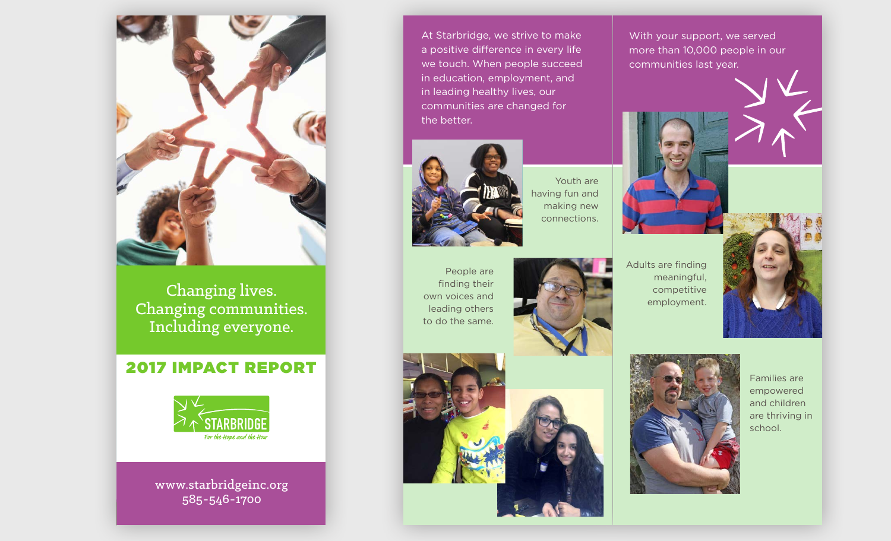

Changing lives. Changing lives. **Stephen Schanging communities.** Including everyone. Including everyone. Matt Perdue Mary Richardson Cheryl Riley Laura Segave Alan Sheldon

Shaun Speicher Lisa Stephenson

with Matt Perdue, Board Chair

#### **2017 IMPACT REPORT Paul 2017 IMPACT REPORT** Bonnie Watson



www.starbridgeinc.org www.starbridgeinc.org 585-546-1700  $\mathbf{S}$  and  $\mathbf{S}$ Colin Garwood, President/CEO (left),

**At Starbridge, we strive to make a line of the Starbridge, we strive to make** a positive difference in every life we touch. When people succeed in education, employment, and in education, employment, and **in leading healthy lives, our lineary of the linear state of the linear state of the linear state of the linear** communities are changed for communities are changed for the better.



People are finding their own voices and leading others to do the same.

Youth are having fun and making new connections.



communities last year.

With your support, we served more than 10,000 people in our

Adults are finding meaningful, competitive employment.









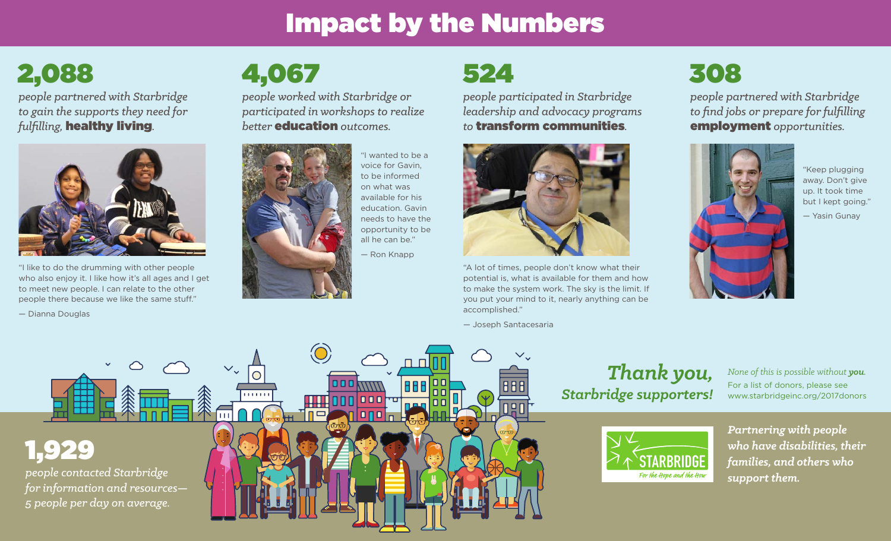## Impact by the Numbers

2,088

*people partnered with Starbridge to gain the supports they need for fulfi lling,* healthy living*.*



"I like to do the drumming with other people who also enjoy it. I like how it's all ages and I get to meet new people. I can relate to the other people there because we like the same stuff."

— Dianna Douglas

# 4,067

*people worked with Starbridge or participated in workshops to realize be er* education *outcomes.*



"I wanted to be a voice for Gavin, to be informed on what was available for his education. Gavin needs to have the opportunity to be all he can be."

— Ron Knapp

### 524

*people participated in Starbridge leadership and advocacy programs to* transform communities*.*



"A lot of times, people don't know what their potential is, what is available for them and how to make the system work. The sky is the limit. If you put your mind to it, nearly anything can be accomplished."

— Joseph Santacesaria

### 308

*people partnered with Starbridge to fi nd jobs or prepare for fulfi lling*  employment *opportunities.*



"Keep plugging away. Don't give up. It took time but I kept going."

— Yasin Gunay



#### *Thank you, Starbridge supporters!*

*None of this is possible without you.* For a list of donors, please see www.starbridgeinc.org/2017donors



*Partnering with people who have disabilities, their families, and others who support them.*